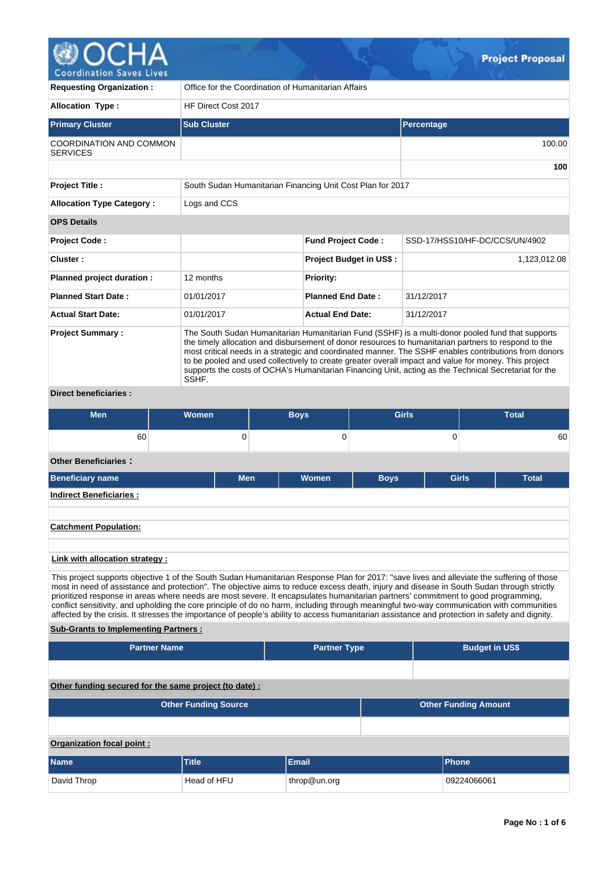

| <b>Requesting Organization:</b>                   | Office for the Coordination of Humanitarian Affairs                                                                                                                                                                                                                                                                                                                                                                                                                                                                                          |                                |                                |  |  |  |  |  |  |
|---------------------------------------------------|----------------------------------------------------------------------------------------------------------------------------------------------------------------------------------------------------------------------------------------------------------------------------------------------------------------------------------------------------------------------------------------------------------------------------------------------------------------------------------------------------------------------------------------------|--------------------------------|--------------------------------|--|--|--|--|--|--|
| <b>Allocation Type:</b>                           | HF Direct Cost 2017                                                                                                                                                                                                                                                                                                                                                                                                                                                                                                                          |                                |                                |  |  |  |  |  |  |
| <b>Primary Cluster</b>                            | <b>Sub Cluster</b>                                                                                                                                                                                                                                                                                                                                                                                                                                                                                                                           |                                | Percentage                     |  |  |  |  |  |  |
| <b>COORDINATION AND COMMON</b><br><b>SERVICES</b> |                                                                                                                                                                                                                                                                                                                                                                                                                                                                                                                                              |                                | 100.00                         |  |  |  |  |  |  |
|                                                   |                                                                                                                                                                                                                                                                                                                                                                                                                                                                                                                                              |                                | 100                            |  |  |  |  |  |  |
| <b>Project Title:</b>                             | South Sudan Humanitarian Financing Unit Cost Plan for 2017                                                                                                                                                                                                                                                                                                                                                                                                                                                                                   |                                |                                |  |  |  |  |  |  |
| <b>Allocation Type Category:</b>                  | Logs and CCS                                                                                                                                                                                                                                                                                                                                                                                                                                                                                                                                 |                                |                                |  |  |  |  |  |  |
| <b>OPS Details</b>                                |                                                                                                                                                                                                                                                                                                                                                                                                                                                                                                                                              |                                |                                |  |  |  |  |  |  |
| <b>Project Code:</b>                              |                                                                                                                                                                                                                                                                                                                                                                                                                                                                                                                                              | <b>Fund Project Code:</b>      | SSD-17/HSS10/HF-DC/CCS/UN/4902 |  |  |  |  |  |  |
| Cluster:                                          |                                                                                                                                                                                                                                                                                                                                                                                                                                                                                                                                              | <b>Project Budget in US\$:</b> | 1,123,012.08                   |  |  |  |  |  |  |
| Planned project duration :                        | 12 months                                                                                                                                                                                                                                                                                                                                                                                                                                                                                                                                    | <b>Priority:</b>               |                                |  |  |  |  |  |  |
| <b>Planned Start Date:</b>                        | 01/01/2017                                                                                                                                                                                                                                                                                                                                                                                                                                                                                                                                   | <b>Planned End Date:</b>       | 31/12/2017                     |  |  |  |  |  |  |
| <b>Actual Start Date:</b>                         | 01/01/2017                                                                                                                                                                                                                                                                                                                                                                                                                                                                                                                                   | <b>Actual End Date:</b>        | 31/12/2017                     |  |  |  |  |  |  |
| <b>Project Summary:</b><br>Direct honoficiarios . | The South Sudan Humanitarian Humanitarian Fund (SSHF) is a multi-donor pooled fund that supports<br>the timely allocation and disbursement of donor resources to humanitarian partners to respond to the<br>most critical needs in a strategic and coordinated manner. The SSHF enables contributions from donors<br>to be pooled and used collectively to create greater overall impact and value for money. This project<br>supports the costs of OCHA's Humanitarian Financing Unit, acting as the Technical Secretariat for the<br>SSHF. |                                |                                |  |  |  |  |  |  |

# **Direct beneficiaries :**

| <b>Men</b>                  | Women | <b>Boys</b> |                | <b>Girls</b> |                | <b>Total</b> |
|-----------------------------|-------|-------------|----------------|--------------|----------------|--------------|
| 60                          | 0     |             | υ              |              |                | 60           |
| <b>Other Beneficiaries:</b> |       |             |                |              |                |              |
| $D$ onoficianu nama         | Mon   |             | <b>Illamon</b> | <b>DAVA</b>  | C <sub>1</sub> | <b>Total</b> |

| <b>Men</b> | <b>Women</b> | <b>Boys</b> | <b>Girls</b> | <b>Total</b> |
|------------|--------------|-------------|--------------|--------------|
|            |              |             |              |              |
|            |              |             |              |              |
|            |              |             |              |              |
|            |              |             |              |              |

# **Link with allocation strategy :**

This project supports objective 1 of the South Sudan Humanitarian Response Plan for 2017: "save lives and alleviate the suffering of those most in need of assistance and protection". The objective aims to reduce excess death, injury and disease in South Sudan through strictly prioritized response in areas where needs are most severe. It encapsulates humanitarian partners' commitment to good programming, conflict sensitivity, and upholding the core principle of do no harm, including through meaningful two-way communication with communities affected by the crisis. It stresses the importance of people's ability to access humanitarian assistance and protection in safety and dignity.

# **Sub-Grants to Implementing Partners :**

| <b>Partner Name</b>                                    |                             | <b>Partner Type</b> |  | <b>Budget in US\$</b>       |  |  |  |  |  |
|--------------------------------------------------------|-----------------------------|---------------------|--|-----------------------------|--|--|--|--|--|
|                                                        |                             |                     |  |                             |  |  |  |  |  |
| Other funding secured for the same project (to date) : |                             |                     |  |                             |  |  |  |  |  |
|                                                        | <b>Other Funding Source</b> |                     |  | <b>Other Funding Amount</b> |  |  |  |  |  |
|                                                        |                             |                     |  |                             |  |  |  |  |  |
| Organization focal point:                              |                             |                     |  |                             |  |  |  |  |  |
| <b>Name</b>                                            | <b>Title</b>                | Email               |  | Phone                       |  |  |  |  |  |
| David Throp                                            | Head of HFU                 | throp@un.org        |  | 09224066061                 |  |  |  |  |  |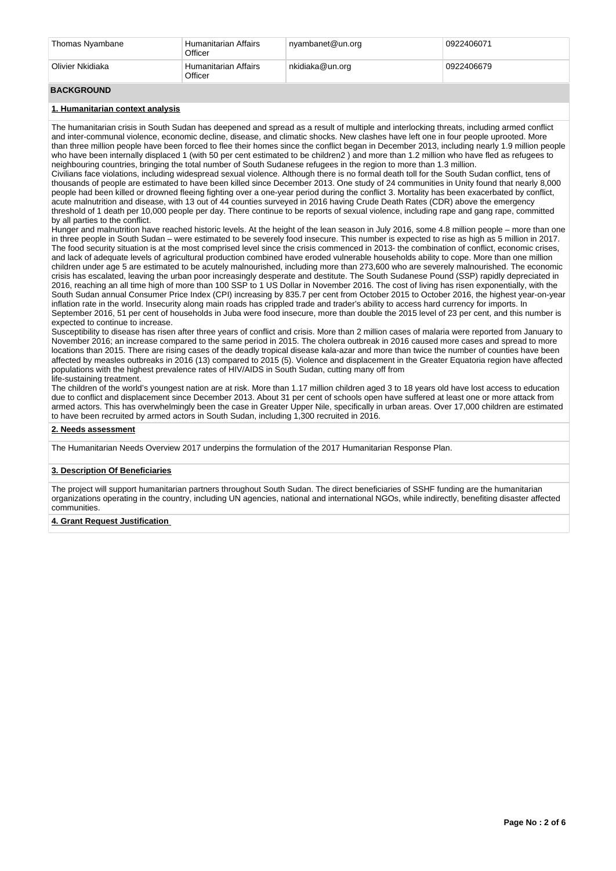| <sup>®</sup> Humanitarian Affairs<br>Olivier Nkidiaka<br>nkidiaka@un.org<br>0922406679<br>Officer | Thomas Nyambane | ' Humanitarian Affairs<br>Officer | nyambanet@un.org | 0922406071 |  |  |
|---------------------------------------------------------------------------------------------------|-----------------|-----------------------------------|------------------|------------|--|--|
|                                                                                                   |                 |                                   |                  |            |  |  |

## **BACKGROUND**

## **1. Humanitarian context analysis**

The humanitarian crisis in South Sudan has deepened and spread as a result of multiple and interlocking threats, including armed conflict and inter-communal violence, economic decline, disease, and climatic shocks. New clashes have left one in four people uprooted. More than three million people have been forced to flee their homes since the conflict began in December 2013, including nearly 1.9 million people who have been internally displaced 1 (with 50 per cent estimated to be children2) and more than 1.2 million who have fled as refugees to neighbouring countries, bringing the total number of South Sudanese refugees in the region to more than 1.3 million.

Civilians face violations, including widespread sexual violence. Although there is no formal death toll for the South Sudan conflict, tens of thousands of people are estimated to have been killed since December 2013. One study of 24 communities in Unity found that nearly 8,000 people had been killed or drowned fleeing fighting over a one-year period during the conflict 3. Mortality has been exacerbated by conflict, acute malnutrition and disease, with 13 out of 44 counties surveyed in 2016 having Crude Death Rates (CDR) above the emergency threshold of 1 death per 10,000 people per day. There continue to be reports of sexual violence, including rape and gang rape, committed by all parties to the conflict.

Hunger and malnutrition have reached historic levels. At the height of the lean season in July 2016, some 4.8 million people – more than one in three people in South Sudan – were estimated to be severely food insecure. This number is expected to rise as high as 5 million in 2017. The food security situation is at the most comprised level since the crisis commenced in 2013- the combination of conflict, economic crises, and lack of adequate levels of agricultural production combined have eroded vulnerable households ability to cope. More than one million children under age 5 are estimated to be acutely malnourished, including more than 273,600 who are severely malnourished. The economic crisis has escalated, leaving the urban poor increasingly desperate and destitute. The South Sudanese Pound (SSP) rapidly depreciated in 2016, reaching an all time high of more than 100 SSP to 1 US Dollar in November 2016. The cost of living has risen exponentially, with the South Sudan annual Consumer Price Index (CPI) increasing by 835.7 per cent from October 2015 to October 2016, the highest year-on-year inflation rate in the world. Insecurity along main roads has crippled trade and trader's ability to access hard currency for imports. In September 2016, 51 per cent of households in Juba were food insecure, more than double the 2015 level of 23 per cent, and this number is expected to continue to increase.

Susceptibility to disease has risen after three years of conflict and crisis. More than 2 million cases of malaria were reported from January to November 2016; an increase compared to the same period in 2015. The cholera outbreak in 2016 caused more cases and spread to more locations than 2015. There are rising cases of the deadly tropical disease kala-azar and more than twice the number of counties have been affected by measles outbreaks in 2016 (13) compared to 2015 (5). Violence and displacement in the Greater Equatoria region have affected populations with the highest prevalence rates of HIV/AIDS in South Sudan, cutting many off from life-sustaining treatment.

The children of the world's youngest nation are at risk. More than 1.17 million children aged 3 to 18 years old have lost access to education due to conflict and displacement since December 2013. About 31 per cent of schools open have suffered at least one or more attack from armed actors. This has overwhelmingly been the case in Greater Upper Nile, specifically in urban areas. Over 17,000 children are estimated to have been recruited by armed actors in South Sudan, including 1,300 recruited in 2016.

### **2. Needs assessment**

The Humanitarian Needs Overview 2017 underpins the formulation of the 2017 Humanitarian Response Plan.

## **3. Description Of Beneficiaries**

The project will support humanitarian partners throughout South Sudan. The direct beneficiaries of SSHF funding are the humanitarian organizations operating in the country, including UN agencies, national and international NGOs, while indirectly, benefiting disaster affected communities.

## **4. Grant Request Justification**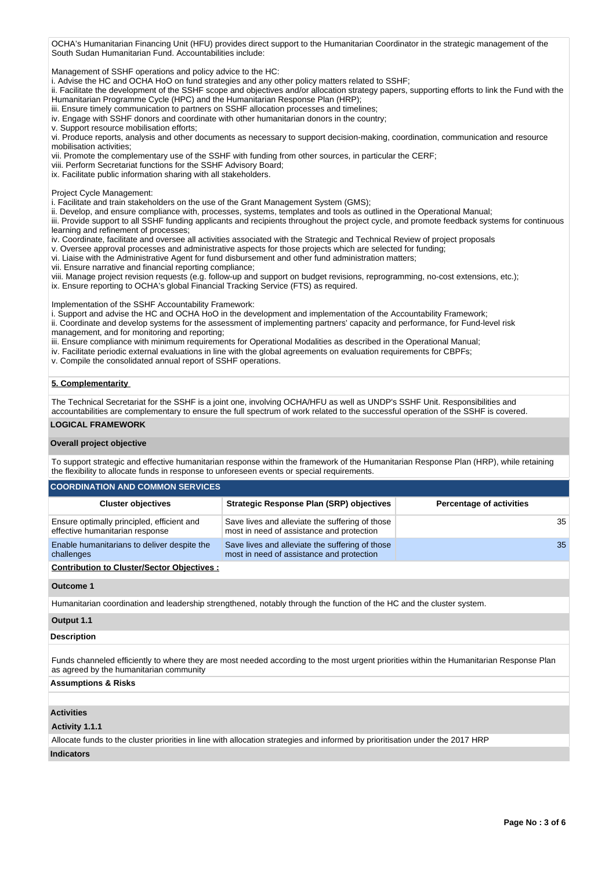OCHA's Humanitarian Financing Unit (HFU) provides direct support to the Humanitarian Coordinator in the strategic management of the South Sudan Humanitarian Fund. Accountabilities include:

Management of SSHF operations and policy advice to the HC:

i. Advise the HC and OCHA HoO on fund strategies and any other policy matters related to SSHF;

ii. Facilitate the development of the SSHF scope and objectives and/or allocation strategy papers, supporting efforts to link the Fund with the Humanitarian Programme Cycle (HPC) and the Humanitarian Response Plan (HRP);

iii. Ensure timely communication to partners on SSHF allocation processes and timelines:

iv. Engage with SSHF donors and coordinate with other humanitarian donors in the country;

v. Support resource mobilisation efforts;

vi. Produce reports, analysis and other documents as necessary to support decision-making, coordination, communication and resource mobilisation activities;

vii. Promote the complementary use of the SSHF with funding from other sources, in particular the CERF;

viii. Perform Secretariat functions for the SSHF Advisory Board;

ix. Facilitate public information sharing with all stakeholders.

Project Cycle Management:

i. Facilitate and train stakeholders on the use of the Grant Management System (GMS);

ii. Develop, and ensure compliance with, processes, systems, templates and tools as outlined in the Operational Manual;

iii. Provide support to all SSHF funding applicants and recipients throughout the project cycle, and promote feedback systems for continuous learning and refinement of processes;

iv. Coordinate, facilitate and oversee all activities associated with the Strategic and Technical Review of project proposals

v. Oversee approval processes and administrative aspects for those projects which are selected for funding;

vi. Liaise with the Administrative Agent for fund disbursement and other fund administration matters;

vii. Ensure narrative and financial reporting compliance;

viii. Manage project revision requests (e.g. follow-up and support on budget revisions, reprogramming, no-cost extensions, etc.);

ix. Ensure reporting to OCHA's global Financial Tracking Service (FTS) as required.

Implementation of the SSHF Accountability Framework:

i. Support and advise the HC and OCHA HoO in the development and implementation of the Accountability Framework;

- ii. Coordinate and develop systems for the assessment of implementing partners' capacity and performance, for Fund-level risk management, and for monitoring and reporting;
- iii. Ensure compliance with minimum requirements for Operational Modalities as described in the Operational Manual;
- iv. Facilitate periodic external evaluations in line with the global agreements on evaluation requirements for CBPFs;
- v. Compile the consolidated annual report of SSHF operations.

## **5. Complementarity**

The Technical Secretariat for the SSHF is a joint one, involving OCHA/HFU as well as UNDP's SSHF Unit. Responsibilities and accountabilities are complementary to ensure the full spectrum of work related to the successful operation of the SSHF is covered.

## **LOGICAL FRAMEWORK**

#### **Overall project objective**

To support strategic and effective humanitarian response within the framework of the Humanitarian Response Plan (HRP), while retaining the flexibility to allocate funds in response to unforeseen events or special requirements.

#### **COORDINATION AND COMMON SERVICES**

| <b>Cluster objectives</b>                                                     | <b>Strategic Response Plan (SRP) objectives</b>                                              | <b>Percentage of activities</b> |
|-------------------------------------------------------------------------------|----------------------------------------------------------------------------------------------|---------------------------------|
| Ensure optimally principled, efficient and<br>effective humanitarian response | Save lives and alleviate the suffering of those<br>most in need of assistance and protection | 35                              |
| Enable humanitarians to deliver despite the<br>challenges                     | Save lives and alleviate the suffering of those<br>most in need of assistance and protection | 35                              |
|                                                                               |                                                                                              |                                 |

#### **Contribution to Cluster/Sector Objectives :**

#### **Outcome 1**

Humanitarian coordination and leadership strengthened, notably through the function of the HC and the cluster system.

### **Output 1.1**

## **Description**

Funds channeled efficiently to where they are most needed according to the most urgent priorities within the Humanitarian Response Plan as agreed by the humanitarian community

## **Assumptions & Risks**

## **Activities**

**Activity 1.1.1** 

Allocate funds to the cluster priorities in line with allocation strategies and informed by prioritisation under the 2017 HRP

# **Indicators**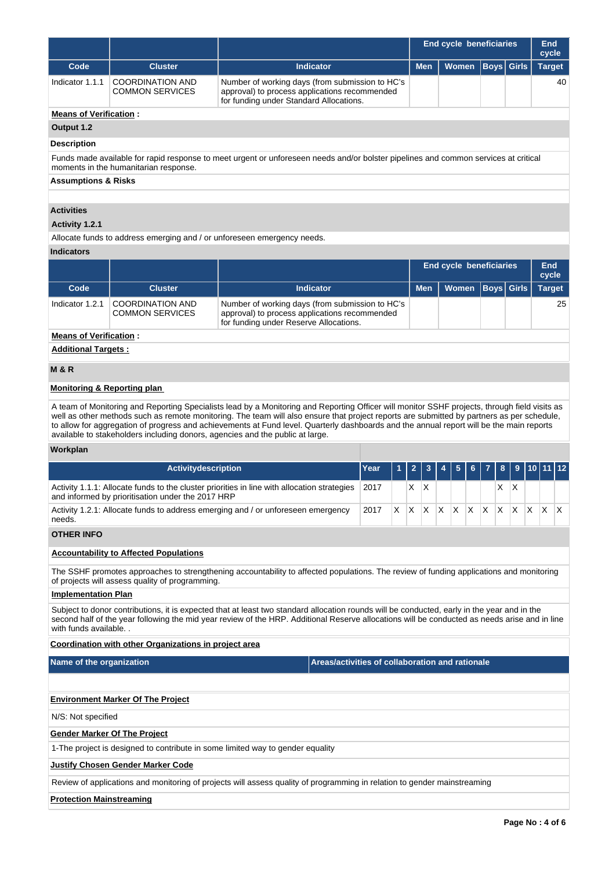|                                                                                                                                                                                                                                                                                                                                                                                                                                                                                                                          |                                                                                                                                                                                                                                                                                                                      |                                                                                                                                             | End cycle beneficiaries |    |     |            |                         |       |              |             |    | <b>End</b><br>cycle |               |               |
|--------------------------------------------------------------------------------------------------------------------------------------------------------------------------------------------------------------------------------------------------------------------------------------------------------------------------------------------------------------------------------------------------------------------------------------------------------------------------------------------------------------------------|----------------------------------------------------------------------------------------------------------------------------------------------------------------------------------------------------------------------------------------------------------------------------------------------------------------------|---------------------------------------------------------------------------------------------------------------------------------------------|-------------------------|----|-----|------------|-------------------------|-------|--------------|-------------|----|---------------------|---------------|---------------|
| Code                                                                                                                                                                                                                                                                                                                                                                                                                                                                                                                     | <b>Cluster</b>                                                                                                                                                                                                                                                                                                       | <b>Indicator</b>                                                                                                                            |                         |    |     | <b>Men</b> |                         | Women |              | <b>Boys</b> |    | <b>Girls</b>        |               | <b>Target</b> |
| Indicator 1.1.1                                                                                                                                                                                                                                                                                                                                                                                                                                                                                                          | <b>COORDINATION AND</b><br><b>COMMON SERVICES</b>                                                                                                                                                                                                                                                                    | Number of working days (from submission to HC's<br>approval) to process applications recommended<br>for funding under Standard Allocations. |                         |    |     |            |                         |       |              |             |    | 40                  |               |               |
|                                                                                                                                                                                                                                                                                                                                                                                                                                                                                                                          | <b>Means of Verification:</b>                                                                                                                                                                                                                                                                                        |                                                                                                                                             |                         |    |     |            |                         |       |              |             |    |                     |               |               |
| Output 1.2                                                                                                                                                                                                                                                                                                                                                                                                                                                                                                               |                                                                                                                                                                                                                                                                                                                      |                                                                                                                                             |                         |    |     |            |                         |       |              |             |    |                     |               |               |
| <b>Description</b>                                                                                                                                                                                                                                                                                                                                                                                                                                                                                                       |                                                                                                                                                                                                                                                                                                                      |                                                                                                                                             |                         |    |     |            |                         |       |              |             |    |                     |               |               |
| Funds made available for rapid response to meet urgent or unforeseen needs and/or bolster pipelines and common services at critical<br>moments in the humanitarian response.                                                                                                                                                                                                                                                                                                                                             |                                                                                                                                                                                                                                                                                                                      |                                                                                                                                             |                         |    |     |            |                         |       |              |             |    |                     |               |               |
| <b>Assumptions &amp; Risks</b>                                                                                                                                                                                                                                                                                                                                                                                                                                                                                           |                                                                                                                                                                                                                                                                                                                      |                                                                                                                                             |                         |    |     |            |                         |       |              |             |    |                     |               |               |
|                                                                                                                                                                                                                                                                                                                                                                                                                                                                                                                          |                                                                                                                                                                                                                                                                                                                      |                                                                                                                                             |                         |    |     |            |                         |       |              |             |    |                     |               |               |
| <b>Activities</b><br>Activity 1.2.1                                                                                                                                                                                                                                                                                                                                                                                                                                                                                      |                                                                                                                                                                                                                                                                                                                      |                                                                                                                                             |                         |    |     |            |                         |       |              |             |    |                     |               |               |
|                                                                                                                                                                                                                                                                                                                                                                                                                                                                                                                          | Allocate funds to address emerging and / or unforeseen emergency needs.                                                                                                                                                                                                                                              |                                                                                                                                             |                         |    |     |            |                         |       |              |             |    |                     |               |               |
| <b>Indicators</b>                                                                                                                                                                                                                                                                                                                                                                                                                                                                                                        |                                                                                                                                                                                                                                                                                                                      |                                                                                                                                             |                         |    |     |            |                         |       |              |             |    |                     |               |               |
|                                                                                                                                                                                                                                                                                                                                                                                                                                                                                                                          |                                                                                                                                                                                                                                                                                                                      |                                                                                                                                             |                         |    |     |            | End cycle beneficiaries |       |              |             |    |                     |               | End<br>cycle  |
| Code                                                                                                                                                                                                                                                                                                                                                                                                                                                                                                                     | <b>Cluster</b>                                                                                                                                                                                                                                                                                                       | <b>Indicator</b>                                                                                                                            |                         |    |     | <b>Men</b> |                         | Women |              | <b>Boys</b> |    | <b>Girls</b>        | <b>Target</b> |               |
| Indicator 1.2.1                                                                                                                                                                                                                                                                                                                                                                                                                                                                                                          | <b>COORDINATION AND</b><br><b>COMMON SERVICES</b>                                                                                                                                                                                                                                                                    | Number of working days (from submission to HC's<br>approval) to process applications recommended<br>for funding under Reserve Allocations.  |                         |    |     |            |                         |       |              |             |    |                     |               | 25            |
| <b>Means of Verification:</b>                                                                                                                                                                                                                                                                                                                                                                                                                                                                                            |                                                                                                                                                                                                                                                                                                                      |                                                                                                                                             |                         |    |     |            |                         |       |              |             |    |                     |               |               |
| <b>Additional Targets:</b>                                                                                                                                                                                                                                                                                                                                                                                                                                                                                               |                                                                                                                                                                                                                                                                                                                      |                                                                                                                                             |                         |    |     |            |                         |       |              |             |    |                     |               |               |
| <b>M &amp; R</b>                                                                                                                                                                                                                                                                                                                                                                                                                                                                                                         |                                                                                                                                                                                                                                                                                                                      |                                                                                                                                             |                         |    |     |            |                         |       |              |             |    |                     |               |               |
| <b>Monitoring &amp; Reporting plan</b>                                                                                                                                                                                                                                                                                                                                                                                                                                                                                   |                                                                                                                                                                                                                                                                                                                      |                                                                                                                                             |                         |    |     |            |                         |       |              |             |    |                     |               |               |
| A team of Monitoring and Reporting Specialists lead by a Monitoring and Reporting Officer will monitor SSHF projects, through field visits as<br>well as other methods such as remote monitoring. The team will also ensure that project reports are submitted by partners as per schedule,<br>to allow for aggregation of progress and achievements at Fund level. Quarterly dashboards and the annual report will be the main reports<br>available to stakeholders including donors, agencies and the public at large. |                                                                                                                                                                                                                                                                                                                      |                                                                                                                                             |                         |    |     |            |                         |       |              |             |    |                     |               |               |
| Workplan                                                                                                                                                                                                                                                                                                                                                                                                                                                                                                                 |                                                                                                                                                                                                                                                                                                                      |                                                                                                                                             |                         |    |     |            |                         |       |              |             |    |                     |               |               |
|                                                                                                                                                                                                                                                                                                                                                                                                                                                                                                                          | Activitydescription                                                                                                                                                                                                                                                                                                  |                                                                                                                                             | Year                    | 1  | 2   | 3          | 4                       | 5     |              |             | 8  | 9                   | 10            | 12            |
|                                                                                                                                                                                                                                                                                                                                                                                                                                                                                                                          | and informed by prioritisation under the 2017 HRP                                                                                                                                                                                                                                                                    | Activity 1.1.1: Allocate funds to the cluster priorities in line with allocation strategies                                                 | 2017                    |    | X   | ΙX.        |                         |       |              |             | X. | <sup>X</sup>        |               |               |
| needs.                                                                                                                                                                                                                                                                                                                                                                                                                                                                                                                   |                                                                                                                                                                                                                                                                                                                      | Activity 1.2.1: Allocate funds to address emerging and / or unforeseen emergency                                                            | 2017                    | X. | IX. | X          | X.                      | X.    | $\mathsf{X}$ | X.          | X. | $\mathsf{X}$        | $X$ $X$       | IΧ            |
| <b>OTHER INFO</b>                                                                                                                                                                                                                                                                                                                                                                                                                                                                                                        |                                                                                                                                                                                                                                                                                                                      |                                                                                                                                             |                         |    |     |            |                         |       |              |             |    |                     |               |               |
|                                                                                                                                                                                                                                                                                                                                                                                                                                                                                                                          | <b>Accountability to Affected Populations</b>                                                                                                                                                                                                                                                                        |                                                                                                                                             |                         |    |     |            |                         |       |              |             |    |                     |               |               |
|                                                                                                                                                                                                                                                                                                                                                                                                                                                                                                                          | of projects will assess quality of programming.                                                                                                                                                                                                                                                                      | The SSHF promotes approaches to strengthening accountability to affected populations. The review of funding applications and monitoring     |                         |    |     |            |                         |       |              |             |    |                     |               |               |
| <b>Implementation Plan</b>                                                                                                                                                                                                                                                                                                                                                                                                                                                                                               |                                                                                                                                                                                                                                                                                                                      |                                                                                                                                             |                         |    |     |            |                         |       |              |             |    |                     |               |               |
|                                                                                                                                                                                                                                                                                                                                                                                                                                                                                                                          | Subject to donor contributions, it is expected that at least two standard allocation rounds will be conducted, early in the year and in the<br>second half of the year following the mid year review of the HRP. Additional Reserve allocations will be conducted as needs arise and in line<br>with funds available |                                                                                                                                             |                         |    |     |            |                         |       |              |             |    |                     |               |               |
|                                                                                                                                                                                                                                                                                                                                                                                                                                                                                                                          | Coordination with other Organizations in project area                                                                                                                                                                                                                                                                |                                                                                                                                             |                         |    |     |            |                         |       |              |             |    |                     |               |               |
| Name of the organization                                                                                                                                                                                                                                                                                                                                                                                                                                                                                                 |                                                                                                                                                                                                                                                                                                                      | Areas/activities of collaboration and rationale                                                                                             |                         |    |     |            |                         |       |              |             |    |                     |               |               |
|                                                                                                                                                                                                                                                                                                                                                                                                                                                                                                                          |                                                                                                                                                                                                                                                                                                                      |                                                                                                                                             |                         |    |     |            |                         |       |              |             |    |                     |               |               |
|                                                                                                                                                                                                                                                                                                                                                                                                                                                                                                                          | <b>Environment Marker Of The Project</b>                                                                                                                                                                                                                                                                             |                                                                                                                                             |                         |    |     |            |                         |       |              |             |    |                     |               |               |
| N/S: Not specified                                                                                                                                                                                                                                                                                                                                                                                                                                                                                                       |                                                                                                                                                                                                                                                                                                                      |                                                                                                                                             |                         |    |     |            |                         |       |              |             |    |                     |               |               |
|                                                                                                                                                                                                                                                                                                                                                                                                                                                                                                                          | <b>Gender Marker Of The Project</b>                                                                                                                                                                                                                                                                                  |                                                                                                                                             |                         |    |     |            |                         |       |              |             |    |                     |               |               |
|                                                                                                                                                                                                                                                                                                                                                                                                                                                                                                                          |                                                                                                                                                                                                                                                                                                                      | 1-The project is designed to contribute in some limited way to gender equality                                                              |                         |    |     |            |                         |       |              |             |    |                     |               |               |
|                                                                                                                                                                                                                                                                                                                                                                                                                                                                                                                          | <b>Justify Chosen Gender Marker Code</b>                                                                                                                                                                                                                                                                             |                                                                                                                                             |                         |    |     |            |                         |       |              |             |    |                     |               |               |
|                                                                                                                                                                                                                                                                                                                                                                                                                                                                                                                          |                                                                                                                                                                                                                                                                                                                      | Review of applications and monitoring of projects will assess quality of programming in relation to gender mainstreaming                    |                         |    |     |            |                         |       |              |             |    |                     |               |               |
| <b>Protection Mainstreaming</b>                                                                                                                                                                                                                                                                                                                                                                                                                                                                                          |                                                                                                                                                                                                                                                                                                                      |                                                                                                                                             |                         |    |     |            |                         |       |              |             |    |                     |               |               |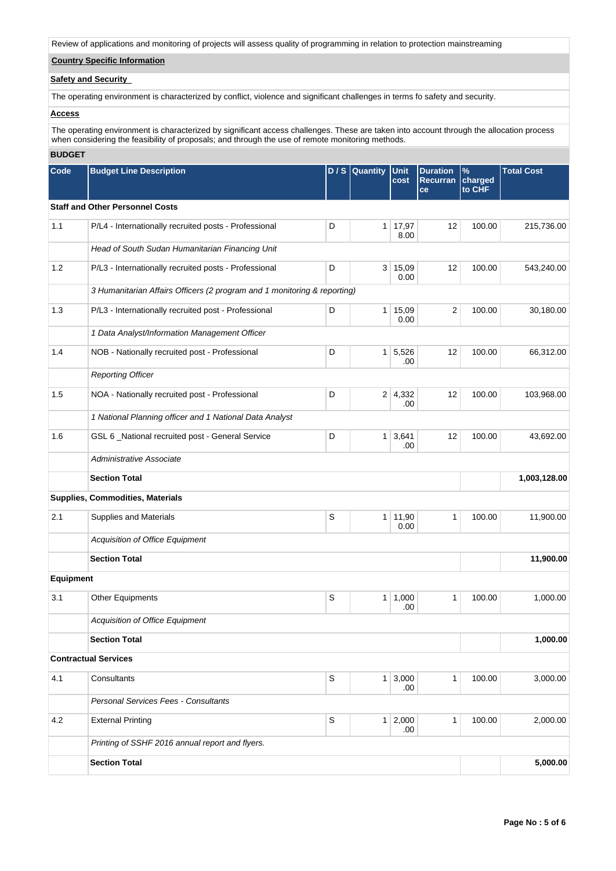Review of applications and monitoring of projects will assess quality of programming in relation to protection mainstreaming

# **Country Specific Information**

# **Safety and Security**

The operating environment is characterized by conflict, violence and significant challenges in terms fo safety and security.

## **Access**

The operating environment is characterized by significant access challenges. These are taken into account through the allocation process when considering the feasibility of proposals; and through the use of remote monitoring methods.

# **BUDGET**

| Code      | <b>Budget Line Description</b>                                           | DIS         | <b>Quantity</b>       | Unit<br>cost             | <b>Duration</b><br><b>Recurran</b><br>ce | $\%$<br>charged<br>to CHF | <b>Total Cost</b> |
|-----------|--------------------------------------------------------------------------|-------------|-----------------------|--------------------------|------------------------------------------|---------------------------|-------------------|
|           | <b>Staff and Other Personnel Costs</b>                                   |             |                       |                          |                                          |                           |                   |
| 1.1       | P/L4 - Internationally recruited posts - Professional                    | D           | 1 <sup>1</sup>        | 17,97<br>8.00            | 12                                       | 100.00                    | 215,736.00        |
|           | Head of South Sudan Humanitarian Financing Unit                          |             |                       |                          |                                          |                           |                   |
| 1.2       | P/L3 - Internationally recruited posts - Professional                    | D           |                       | 3   15,09<br>0.00        | 12                                       | 100.00                    | 543,240.00        |
|           | 3 Humanitarian Affairs Officers (2 program and 1 monitoring & reporting) |             |                       |                          |                                          |                           |                   |
| 1.3       | P/L3 - Internationally recruited post - Professional                     | D           | 1 <sup>1</sup>        | 15,09<br>0.00            | $\overline{2}$                           | 100.00                    | 30,180.00         |
|           | 1 Data Analyst/Information Management Officer                            |             |                       |                          |                                          |                           |                   |
| 1.4       | NOB - Nationally recruited post - Professional                           | D           |                       | $1 \mid 5,526$<br>.00    | 12                                       | 100.00                    | 66,312.00         |
|           | <b>Reporting Officer</b>                                                 |             |                       |                          |                                          |                           |                   |
| 1.5       | NOA - Nationally recruited post - Professional                           |             | $2 \mid 4,332$<br>.00 | 12                       | 100.00                                   | 103,968.00                |                   |
|           | 1 National Planning officer and 1 National Data Analyst                  |             |                       |                          |                                          |                           |                   |
| 1.6       | GSL 6 _National recruited post - General Service                         | D           | 1 <sup>1</sup>        | 3.641<br>.00             | 12                                       | 100.00                    | 43,692.00         |
|           | Administrative Associate                                                 |             |                       |                          |                                          |                           |                   |
|           | <b>Section Total</b>                                                     |             |                       |                          |                                          |                           | 1,003,128.00      |
|           | Supplies, Commodities, Materials                                         |             |                       |                          |                                          |                           |                   |
| 2.1       | Supplies and Materials                                                   | S           | 1 <sup>1</sup>        | 11,90<br>0.00            | $\mathbf{1}$                             | 100.00                    | 11,900.00         |
|           | Acquisition of Office Equipment                                          |             |                       |                          |                                          |                           |                   |
|           | <b>Section Total</b>                                                     |             |                       |                          |                                          |                           | 11,900.00         |
| Equipment |                                                                          |             |                       |                          |                                          |                           |                   |
| 3.1       | <b>Other Equipments</b>                                                  | S           |                       | 1   1,000<br>.00         | $\mathbf{1}$                             | 100.00                    | 1,000.00          |
|           | Acquisition of Office Equipment                                          |             |                       |                          |                                          |                           |                   |
|           | <b>Section Total</b>                                                     |             |                       |                          |                                          |                           | 1,000.00          |
|           | <b>Contractual Services</b>                                              |             |                       |                          |                                          |                           |                   |
| 4.1       | Consultants                                                              | S           |                       | $1 \,   \, 3,000$<br>.00 | $\mathbf{1}$                             | 100.00                    | 3,000.00          |
|           | Personal Services Fees - Consultants                                     |             |                       |                          |                                          |                           |                   |
| 4.2       | <b>External Printing</b>                                                 | $\mathsf S$ |                       | $1 \mid 2,000$<br>.00    | 1                                        | 100.00                    | 2,000.00          |
|           | Printing of SSHF 2016 annual report and flyers.                          |             |                       |                          |                                          |                           |                   |
|           | <b>Section Total</b>                                                     |             |                       |                          |                                          |                           | 5,000.00          |